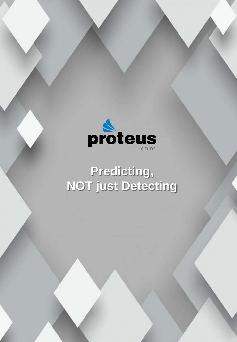

# **Predicting, NOT just Detecting**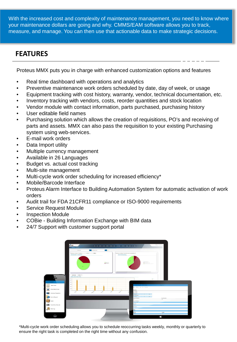With the increased cost and complexity of maintenance management, you need to know where your maintenance dollars are going and why. CMMS/EAM software allows you to track, measure, and manage. You can then use that actionable data to make strategic decisions.

#### **FEATURES**

Proteus MMX puts you in charge with enhanced customization options and features

- Real time dashboard with operations and analytics
- Preventive maintenance work orders scheduled by date, day of week, or usage
- Equipment tracking with cost history, warranty, vendor, technical documentation, etc.
- Inventory tracking with vendors, costs, reorder quantities and stock location
- Vendor module with contact information, parts purchased, purchasing history
- User editable field names
- Purchasing solution which allows the creation of requisitions, PO's and receiving of parts and assets. MMX can also pass the requisition to your existing Purchasing system using web-services.
- E-mail work orders
- Data Import utility
- Multiple currency management
- Available in 26 Languages
- Budget vs. actual cost tracking
- Multi-site management
- Multi-cycle work order scheduling for increased efficiency\*
- Mobile/Barcode Interface
- Proteus Alarm Interface to Building Automation System for automatic activation of work orders
- Audit trail for FDA 21CFR11 compliance or ISO-9000 requirements
- Service Request Module
- Inspection Module
- COBie Building Information Exchange with BIM data
- 24/7 Support with customer support portal



\*Multi-cycle work order scheduling allows you to schedule reoccurring tasks weekly, monthly or quarterly to ensure the right task is completed on the right time without any confusion.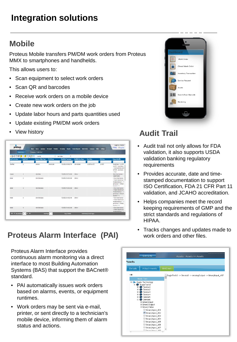## **Integration solutions**

#### **Mobile**

Proteus Mobile transfers PM/DM work orders from Proteus MMX to smartphones and handhelds.

This allows users to:

- Scan equipment to select work orders
- Scan QR and barcodes
- Receive work orders on a mobile device
- Create new work orders on the job
- Update labor hours and parts quantities used
- Update existing PM/DM work orders
- View history

|                    | <b>BAY</b><br><b>Bone</b> | <b>August</b><br>Intentacy  | <b>Provident</b><br><b>Personnel</b> | Purchasing<br><b>Reports</b> | <b>Service Recursh</b><br>Work Orders | <b>Nebox</b><br>Company | Settings         | 0 Help Olog Out                                                                                                     |
|--------------------|---------------------------|-----------------------------|--------------------------------------|------------------------------|---------------------------------------|-------------------------|------------------|---------------------------------------------------------------------------------------------------------------------|
|                    | <b>Quality</b>            | Company - Audit Trail       |                                      |                              |                                       |                         |                  |                                                                                                                     |
|                    | (多数数据图像图像图案               | SotBf                       | * Set Order                          | ٠                            |                                       |                         |                  |                                                                                                                     |
| fadit Trail Action | Audit Trail               | <b>Business Object Type</b> | <b>Held Name</b>                     | <b>Modified Timestong</b>    | Modified they Name                    | <b>New Value</b>        | <b>Cld Value</b> | <b>Unique Identifier</b>                                                                                            |
|                    |                           |                             |                                      |                              |                                       |                         |                  |                                                                                                                     |
| Modified           | ٠                         | <b>Dendors</b>              | WindorCode                           | 7/25/2016 9:50:01 PM         | Administrator                         | 12-2573-AU 0473         | 12-2572          | Vendo/Code = 11-1578<br>iAUDITy, VendorNeme<br>+ STD/SAMPSON AUTO<br>MIT ON', is orthodor<br>$2.78$ kg <sup>2</sup> |
| Created            | $\mathbf{z}$              | WorkCroter                  |                                      | 7/26/2016 5:57:18.4M         | Odtmer                                |                         |                  | Work Order Number =<br>20160715081                                                                                  |
| Added              | $\overline{3}$            | WorkOrderLabor              |                                      | T/26/2015 5:43:31 AM         | <b>Dátmer</b>                         |                         |                  | x 'Mork Order Number<br>* FMACTIVE CONVICI-V<br>W-3500-SHISA-13", = T<br>ask Number's "Died02"<br>Sequence = 2      |
| Address            | ٠                         | WorkColestation             |                                      | 7/26/2015 9:43:51 AM         | Détener                               |                         |                  | a 'Werk Order Number<br>x VANCTIVE CONVERV<br>W 3500-94354-13", = T<br>ask Number's "CHK130".<br>Sequence # 2       |
| Added              | 5                         | WorkOrderLabor              |                                      | T/26/2015 9:43:31 AM         | Dditmen                               |                         |                  | r Work Order Number<br>* FMACTIVECONVED-V<br>W-3500-SH15A-13", n 'T<br>ask Number # "DROB3",<br>Sequence ± 3        |
| Adried             |                           | WorkOrderLabor              |                                      | T/26/2015 5:43:31 AM         | Déteur                                |                         |                  | 4 'Work Order Number<br>= WAACTIVECONV12 V<br>W-3500-SH354-13", x 'T *                                              |

### **Proteus Alarm Interface (PAI)** work orders and other files.

Proteus Alarm Interface provides continuous alarm monitoring via a direct interface to most Building Automation Systems (BAS) that support the BACnet® standard.

- PAI automatically issues work orders based on alarms, events, or equipment runtimes.
- Work orders may be sent via e-mail, printer, or sent directly to a technician's mobile device, informing them of alarm status and actions.



### **Audit Trail**

- Audit trail not only allows for FDA validation, it also supports USDA validation banking regulatory requirements
- Provides accurate, date and timestamped documentation to support ISO Certification, FDA 21 CFR Part 11 validation, and JCAHO accreditation.
- Helps companies meet the record keeping requirements of GMP and the strict standards and regulations of HIPAA.
- Tracks changes and updates made to

| <b>Quick Links</b><br>Assets                                                                                                                                                                                                                                                                                                                                                    | Assets - Assets >> Assets                                |
|---------------------------------------------------------------------------------------------------------------------------------------------------------------------------------------------------------------------------------------------------------------------------------------------------------------------------------------------------------------------------------|----------------------------------------------------------|
| Attachments<br><b>Details</b>                                                                                                                                                                                                                                                                                                                                                   | <b>BACnet</b>                                            |
| 1 <sup>2</sup>                                                                                                                                                                                                                                                                                                                                                                  | EagleTech2 -> Device2 -> AnalogOutput -> BinaryInput_407 |
| Node Text                                                                                                                                                                                                                                                                                                                                                                       |                                                          |
| <b>Oh</b> Device2<br>囲<br><b>Oh</b> Device3<br>$\begin{array}{c} \boxed{\pm} \end{array}$<br><b>OR</b> Device4<br>$\blacksquare$<br>El <b>Oh</b> Device5<br><b>□ Oh</b> Device6<br>E BinaryInput<br>E BinaryOutput<br><b>□ BinaryValue</b><br>BinaryInput_101<br>BinaryInput_102<br>BinaryInput_103<br>BinaryInput_104<br>BinaryInput_105<br>BinaryInput_106<br>BinaryInput 107 |                                                          |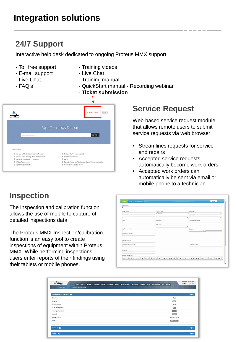### **Integration solutions**

### **24/7 Support**

Interactive help desk dedicated to ongoing Proteus MMX support

- 
- E-mail support Live Chat
- 
- 
- Toll free support Training videos
	-
- Live Chat  **Training manual**
- FAQ's Callege Controllery Controllery Controllery Controllery Parameters and FAQ's
	- **Ticket submission**



### **Service Request**

Web-based service request module that allows remote users to submit service requests via web browser

- Streamlines requests for service and repairs
- Accepted service requests automatically become work orders
- Accepted work orders can automatically be sent via email or mobile phone to a technician

#### **Inspection**

The Inspection and calibration function allows the use of mobile to capture of detailed inspections data

The Proteus MMX Inspection/calibration function is an easy tool to create inspections of equipment within Proteus MMX. While performing inspections users enter reports of their findings using their tablets or mobile phones.

| Description                                                       |                                |                    |
|-------------------------------------------------------------------|--------------------------------|--------------------|
| Cost Center                                                       | Required Date<br>$-01/13/2017$ | Assigned To<br>٠   |
| Maintenance Code<br>٠                                             | <b>Priority</b><br>٠           | Administrator<br>٠ |
| <b>Shift</b><br>٠                                                 | Familiation<br>٠               | Eitimated Dountime |
| Work Cryler Status<br>٠<br>Requester Full Name<br>Regulator Email | mok Type<br>٠                  | Tarpet<br>Lin.     |
| Requester Confirm Email                                           |                                | Requestar Phone    |
| <b>Lication</b><br>٠                                              |                                |                    |
| Additional Details                                                |                                |                    |

| Miscellaneous Questions |  |  |  |  |  |                        | $Q_A$ |
|-------------------------|--|--|--|--|--|------------------------|-------|
| Questions               |  |  |  |  |  | Type                   |       |
| No. of AC's             |  |  |  |  |  | Count                  |       |
| AC functionality        |  |  |  |  |  | Test                   |       |
| AC is working for now   |  |  |  |  |  | <b>Date</b>            |       |
| add single inspection   |  |  |  |  |  | Yes/No.                |       |
| pass/fall               |  |  |  |  |  | PassFall               |       |
| standard range          |  |  |  |  |  | Standard Range         |       |
| multiple                |  |  |  |  |  | <b>Multiple Choice</b> |       |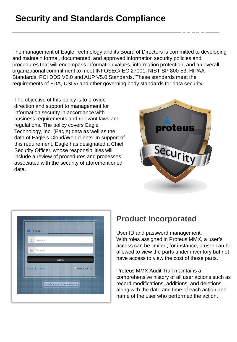### **Security and Standards Compliance**

The management of Eagle Technology and its Board of Directors is committed to developing and maintain formal, documented, and approved information security policies and procedures that will encompass information values, information protection, and an overall organizational commitment to meet INFOSEC/IEC 27001, NIST SP 800-53, HIPAA Standards, PCI DDS V2.0 and AUP V5.0 Standards. These standards meet the requirements of FDA, USDA and other governing body standards for data security.

The objective of this policy is to provide direction and support to management for information security in accordance with business requirements and relevant laws and regulations. The policy covers Eagle Technology, Inc. (Eagle) data as well as the data of Eagle's Cloud/Web clients. In support of this requirement, Eagle has designated a Chief Security Officer, whose responsibilities will include a review of procedures and processes associated with the security of aforementioned data.



| $\Delta$<br>Username           |  |
|--------------------------------|--|
|                                |  |
| $\widehat{m}$<br>Password      |  |
| Login                          |  |
| Remember me<br>Forgot Password |  |

#### **Product Incorporated**

User ID and password management. With roles assigned in Proteus MMX, a user's access can be limited; for instance, a user can be allowed to view the parts under inventory but not have access to view the cost of those parts.

Proteus MMX Audit Trail maintains a comprehensive history of all user actions such as record modifications, additions, and deletions along with the date and time of each action and name of the user who performed the action.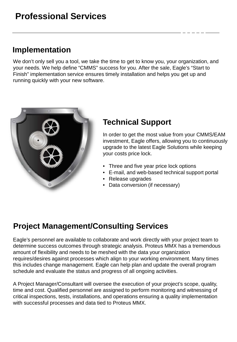### **Implementation**

We don't only sell you a tool, we take the time to get to know you, your organization, and your needs. We help define "CMMS" success for you. After the sale, Eagle's "Start to Finish" implementation service ensures timely installation and helps you get up and running quickly with your new software.



### **Technical Support**

In order to get the most value from your CMMS/EAM investment, Eagle offers, allowing you to continuously upgrade to the latest Eagle Solutions while keeping your costs price lock.

- Three and five year price lock options
- E-mail, and web-based technical support portal
- Release upgrades
- Data conversion (if necessary)

### **Project Management/Consulting Services**

Eagle's personnel are available to collaborate and work directly with your project team to determine success outcomes through strategic analysis. Proteus MMX has a tremendous amount of flexibility and needs to be meshed with the data your organization requires/desires against processes which align to your working environment. Many times this includes change management. Eagle can help plan and update the overall program schedule and evaluate the status and progress of all ongoing activities.

A Project Manager/Consultant will oversee the execution of your project's scope, quality, time and cost. Qualified personnel are assigned to perform monitoring and witnessing of critical inspections, tests, installations, and operations ensuring a quality implementation with successful processes and data tied to Proteus MMX.